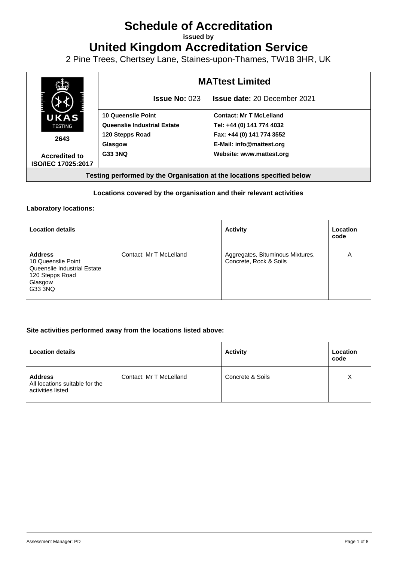# **Schedule of Accreditation**

**issued by**

**United Kingdom Accreditation Service**

2 Pine Trees, Chertsey Lane, Staines-upon-Thames, TW18 3HR, UK



### **Locations covered by the organisation and their relevant activities**

#### **Laboratory locations:**

| <b>Location details</b>                                                                                      |                         | <b>Activity</b>                                            | Location<br>code |
|--------------------------------------------------------------------------------------------------------------|-------------------------|------------------------------------------------------------|------------------|
| <b>Address</b><br>10 Queenslie Point<br>Queenslie Industrial Estate<br>120 Stepps Road<br>Glasgow<br>G33 3NQ | Contact: Mr T McLelland | Aggregates, Bituminous Mixtures,<br>Concrete, Rock & Soils | A                |

#### **Site activities performed away from the locations listed above:**

| <b>Location details</b>                                               |                         | <b>Activity</b>  | Location<br>code |
|-----------------------------------------------------------------------|-------------------------|------------------|------------------|
| <b>Address</b><br>All locations suitable for the<br>activities listed | Contact: Mr T McLelland | Concrete & Soils | Χ                |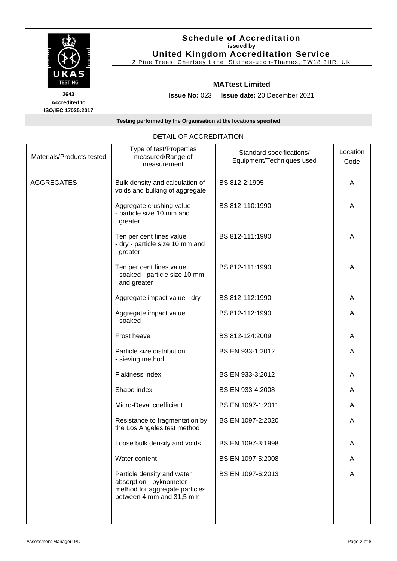| UKAS<br><b>TESTING</b>                             | <b>Schedule of Accreditation</b><br>issued by<br><b>United Kingdom Accreditation Service</b><br>2 Pine Trees, Chertsey Lane, Staines-upon-Thames, TW18 3HR, UK |
|----------------------------------------------------|----------------------------------------------------------------------------------------------------------------------------------------------------------------|
|                                                    | <b>MATtest Limited</b>                                                                                                                                         |
| 2643<br><b>Accredited to</b><br>ISO/IEC 17025:2017 | <b>Issue No: 023 Issue date: 20 December 2021</b>                                                                                                              |
|                                                    | Testing performed by the Organisation at the locations specified                                                                                               |

| Materials/Products tested | Type of test/Properties<br>measured/Range of<br>measurement                                                         | Standard specifications/<br>Equipment/Techniques used | Location<br>Code |
|---------------------------|---------------------------------------------------------------------------------------------------------------------|-------------------------------------------------------|------------------|
| <b>AGGREGATES</b>         | Bulk density and calculation of<br>voids and bulking of aggregate                                                   | BS 812-2:1995                                         | A                |
|                           | Aggregate crushing value<br>- particle size 10 mm and<br>greater                                                    | BS 812-110:1990                                       | A                |
|                           | Ten per cent fines value<br>- dry - particle size 10 mm and<br>greater                                              | BS 812-111:1990                                       | A                |
|                           | Ten per cent fines value<br>- soaked - particle size 10 mm<br>and greater                                           | BS 812-111:1990                                       | A                |
|                           | Aggregate impact value - dry                                                                                        | BS 812-112:1990                                       | A                |
|                           | Aggregate impact value<br>- soaked                                                                                  | BS 812-112:1990                                       | A                |
|                           | Frost heave                                                                                                         | BS 812-124:2009                                       | A                |
|                           | Particle size distribution<br>- sieving method                                                                      | BS EN 933-1:2012                                      | A                |
|                           | Flakiness index                                                                                                     | BS EN 933-3:2012                                      | A                |
|                           | Shape index                                                                                                         | BS EN 933-4:2008                                      | A                |
|                           | Micro-Deval coefficient                                                                                             | BS EN 1097-1:2011                                     | A                |
|                           | Resistance to fragmentation by<br>the Los Angeles test method                                                       | BS EN 1097-2:2020                                     | A                |
|                           | Loose bulk density and voids                                                                                        | BS EN 1097-3:1998                                     | Α                |
|                           | Water content                                                                                                       | BS EN 1097-5:2008                                     | A                |
|                           | Particle density and water<br>absorption - pyknometer<br>method for aggregate particles<br>between 4 mm and 31,5 mm | BS EN 1097-6:2013                                     | A                |

## DETAIL OF ACCREDITATION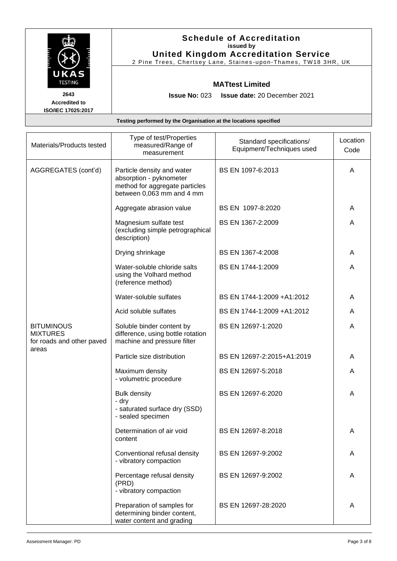| UKAS                                                      | <b>Schedule of Accreditation</b><br>issued by<br><b>United Kingdom Accreditation Service</b><br>2 Pine Trees, Chertsey Lane, Staines-upon-Thames, TW18 3HR, UK |
|-----------------------------------------------------------|----------------------------------------------------------------------------------------------------------------------------------------------------------------|
| <b>TESTING</b>                                            | <b>MATtest Limited</b>                                                                                                                                         |
| 2643<br><b>Accredited to</b><br><b>ISO/IEC 17025:2017</b> | <b>Issue No: <math>023</math></b><br><b>Issue date: 20 December 2021</b>                                                                                       |
|                                                           | Testing performed by the Organisation at the locations specified                                                                                               |

| Materials/Products tested                                         | Type of test/Properties<br>measured/Range of<br>measurement                                                          | Standard specifications/<br>Equipment/Techniques used | Location<br>Code |
|-------------------------------------------------------------------|----------------------------------------------------------------------------------------------------------------------|-------------------------------------------------------|------------------|
| AGGREGATES (cont'd)                                               | Particle density and water<br>absorption - pyknometer<br>method for aggregate particles<br>between 0,063 mm and 4 mm | BS EN 1097-6:2013                                     | A                |
|                                                                   | Aggregate abrasion value                                                                                             | BS EN 1097-8:2020                                     | A                |
|                                                                   | Magnesium sulfate test<br>(excluding simple petrographical<br>description)                                           | BS EN 1367-2:2009                                     | A                |
|                                                                   | Drying shrinkage                                                                                                     | BS EN 1367-4:2008                                     | A                |
|                                                                   | Water-soluble chloride salts<br>using the Volhard method<br>(reference method)                                       | BS EN 1744-1:2009                                     | A                |
|                                                                   | Water-soluble sulfates                                                                                               | BS EN 1744-1:2009 +A1:2012                            | A                |
|                                                                   | Acid soluble sulfates                                                                                                | BS EN 1744-1:2009 +A1:2012                            | A                |
| <b>BITUMINOUS</b><br><b>MIXTURES</b><br>for roads and other paved | Soluble binder content by<br>difference, using bottle rotation<br>machine and pressure filter                        | BS EN 12697-1:2020                                    | A                |
| areas                                                             | Particle size distribution                                                                                           | BS EN 12697-2:2015+A1:2019                            | A                |
|                                                                   | Maximum density<br>- volumetric procedure                                                                            | BS EN 12697-5:2018                                    | A                |
|                                                                   | <b>Bulk density</b><br>- dry<br>- saturated surface dry (SSD)<br>- sealed specimen                                   | BS EN 12697-6:2020                                    | A                |
|                                                                   | Determination of air void<br>content                                                                                 | BS EN 12697-8:2018                                    | A                |
|                                                                   | Conventional refusal density<br>- vibratory compaction                                                               | BS EN 12697-9:2002                                    | A                |
|                                                                   | Percentage refusal density<br>(PRD)<br>- vibratory compaction                                                        | BS EN 12697-9:2002                                    | A                |
|                                                                   | Preparation of samples for<br>determining binder content,<br>water content and grading                               | BS EN 12697-28:2020                                   | A                |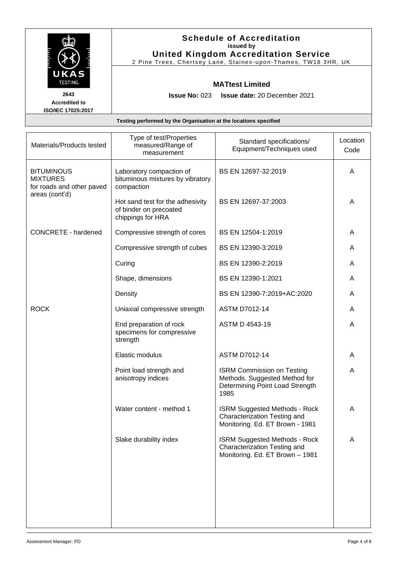|                                                                                     |                                   | <b>Schedule of Accreditation</b><br>issued by<br><b>United Kingdom Accreditation Service</b><br>2 Pine Trees, Chertsey Lane, Staines-upon-Thames, TW18 3HR, UK |         |
|-------------------------------------------------------------------------------------|-----------------------------------|----------------------------------------------------------------------------------------------------------------------------------------------------------------|---------|
| UKAS<br><b>TESTING</b><br>2643<br><b>Accredited to</b><br><b>ISO/IEC 17025:2017</b> | <b>Issue No: <math>023</math></b> | <b>MATtest Limited</b><br><b>Issue date: 20 December 2021</b>                                                                                                  |         |
| Testing performed by the Organisation at the locations specified                    |                                   |                                                                                                                                                                |         |
|                                                                                     | Type of test/Properties           | Ctondord oppositiontional                                                                                                                                      | ocation |

| Materials/Products tested                                         | Type of test/Properties<br>measured/Range of<br>measurement                     | Standard specifications/<br>Equipment/Techniques used                                                         | Location<br>Code |
|-------------------------------------------------------------------|---------------------------------------------------------------------------------|---------------------------------------------------------------------------------------------------------------|------------------|
| <b>BITUMINOUS</b><br><b>MIXTURES</b><br>for roads and other paved | Laboratory compaction of<br>bituminous mixtures by vibratory<br>compaction      | BS EN 12697-32:2019                                                                                           | A                |
| areas (cont'd)                                                    | Hot sand test for the adhesivity<br>of binder on precoated<br>chippings for HRA | BS EN 12697-37:2003                                                                                           | A                |
| <b>CONCRETE - hardened</b>                                        | Compressive strength of cores                                                   | BS EN 12504-1:2019                                                                                            | A                |
|                                                                   | Compressive strength of cubes                                                   | BS EN 12390-3:2019                                                                                            | A                |
|                                                                   | Curing                                                                          | BS EN 12390-2:2019                                                                                            | A                |
|                                                                   | Shape, dimensions                                                               | BS EN 12390-1:2021                                                                                            | A                |
|                                                                   | Density                                                                         | BS EN 12390-7:2019+AC:2020                                                                                    | A                |
| <b>ROCK</b>                                                       | Uniaxial compressive strength                                                   | <b>ASTM D7012-14</b>                                                                                          | A                |
|                                                                   | End preparation of rock<br>specimens for compressive<br>strength                | ASTM D 4543-19                                                                                                | A                |
|                                                                   | Elastic modulus                                                                 | <b>ASTM D7012-14</b>                                                                                          | A                |
|                                                                   | Point load strength and<br>anisotropy indices                                   | <b>ISRM Commission on Testing</b><br>Methods. Suggested Method for<br>Determining Point Load Strength<br>1985 | Α                |
|                                                                   | Water content - method 1                                                        | <b>ISRM Suggested Methods - Rock</b><br>Characterization Testing and<br>Monitoring. Ed. ET Brown - 1981       | Α                |
|                                                                   | Slake durability index                                                          | <b>ISRM Suggested Methods - Rock</b><br>Characterization Testing and<br>Monitoring. Ed. ET Brown - 1981       | A                |
|                                                                   |                                                                                 |                                                                                                               |                  |
|                                                                   |                                                                                 |                                                                                                               |                  |
|                                                                   |                                                                                 |                                                                                                               |                  |
|                                                                   |                                                                                 |                                                                                                               |                  |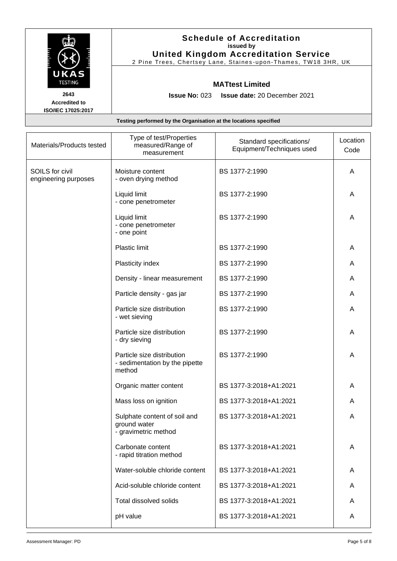| UKAS                                                      | <b>Schedule of Accreditation</b><br>issued by<br><b>United Kingdom Accreditation Service</b><br>2 Pine Trees, Chertsey Lane, Staines-upon-Thames, TW18 3HR, UK |
|-----------------------------------------------------------|----------------------------------------------------------------------------------------------------------------------------------------------------------------|
| <b>TESTING</b>                                            | <b>MATtest Limited</b>                                                                                                                                         |
| 2643<br><b>Accredited to</b><br><b>ISO/IEC 17025:2017</b> | <b>Issue No: <math>023</math></b><br><b>Issue date: 20 December 2021</b>                                                                                       |
|                                                           | Testing performed by the Organisation at the locations specified                                                                                               |

| Materials/Products tested               | Type of test/Properties<br>measured/Range of<br>measurement            | Standard specifications/<br>Equipment/Techniques used | Location<br>Code |
|-----------------------------------------|------------------------------------------------------------------------|-------------------------------------------------------|------------------|
| SOILS for civil<br>engineering purposes | Moisture content<br>- oven drying method                               | BS 1377-2:1990                                        | A                |
|                                         | Liquid limit<br>- cone penetrometer                                    | BS 1377-2:1990                                        | A                |
|                                         | Liquid limit<br>- cone penetrometer<br>- one point                     | BS 1377-2:1990                                        | A                |
|                                         | Plastic limit                                                          | BS 1377-2:1990                                        | A                |
|                                         | Plasticity index                                                       | BS 1377-2:1990                                        | A                |
|                                         | Density - linear measurement                                           | BS 1377-2:1990                                        | A                |
|                                         | Particle density - gas jar                                             | BS 1377-2:1990                                        | A                |
|                                         | Particle size distribution<br>- wet sieving                            | BS 1377-2:1990                                        | A                |
|                                         | Particle size distribution<br>- dry sieving                            | BS 1377-2:1990                                        | A                |
|                                         | Particle size distribution<br>- sedimentation by the pipette<br>method | BS 1377-2:1990                                        | Α                |
|                                         | Organic matter content                                                 | BS 1377-3:2018+A1:2021                                | A                |
|                                         | Mass loss on ignition                                                  | BS 1377-3:2018+A1:2021                                | A                |
|                                         | Sulphate content of soil and<br>ground water<br>- gravimetric method   | BS 1377-3:2018+A1:2021                                | A                |
|                                         | Carbonate content<br>- rapid titration method                          | BS 1377-3:2018+A1:2021                                | A                |
|                                         | Water-soluble chloride content                                         | BS 1377-3:2018+A1:2021                                | A                |
|                                         | Acid-soluble chloride content                                          | BS 1377-3:2018+A1:2021                                | A                |
|                                         | Total dissolved solids                                                 | BS 1377-3:2018+A1:2021                                | A                |
|                                         | pH value                                                               | BS 1377-3:2018+A1:2021                                | A                |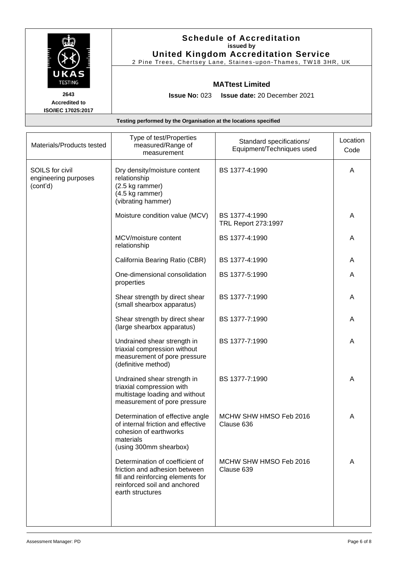| UKAS                                                      | <b>Schedule of Accreditation</b><br>issued by<br><b>United Kingdom Accreditation Service</b><br>2 Pine Trees, Chertsey Lane, Staines-upon-Thames, TW18 3HR, UK |
|-----------------------------------------------------------|----------------------------------------------------------------------------------------------------------------------------------------------------------------|
| <b>TESTING</b>                                            | <b>MATtest Limited</b>                                                                                                                                         |
| 2643<br><b>Accredited to</b><br><b>ISO/IEC 17025:2017</b> | <b>Issue No: <math>023</math></b><br><b>Issue date: 20 December 2021</b>                                                                                       |
|                                                           | Testing performed by the Organisation at the locations specified                                                                                               |

| Materials/Products tested                           | Type of test/Properties<br>measured/Range of<br>measurement                                                                                               | Standard specifications/<br>Equipment/Techniques used | Location<br>Code |
|-----------------------------------------------------|-----------------------------------------------------------------------------------------------------------------------------------------------------------|-------------------------------------------------------|------------------|
| SOILS for civil<br>engineering purposes<br>(cont'd) | Dry density/moisture content<br>relationship<br>(2.5 kg rammer)<br>(4.5 kg rammer)<br>(vibrating hammer)                                                  | BS 1377-4:1990                                        | A                |
|                                                     | Moisture condition value (MCV)                                                                                                                            | BS 1377-4:1990<br>TRL Report 273:1997                 | A                |
|                                                     | MCV/moisture content<br>relationship                                                                                                                      | BS 1377-4:1990                                        | A                |
|                                                     | California Bearing Ratio (CBR)                                                                                                                            | BS 1377-4:1990                                        | A                |
|                                                     | One-dimensional consolidation<br>properties                                                                                                               | BS 1377-5:1990                                        | A                |
|                                                     | Shear strength by direct shear<br>(small shearbox apparatus)                                                                                              | BS 1377-7:1990                                        | A                |
|                                                     | Shear strength by direct shear<br>(large shearbox apparatus)                                                                                              | BS 1377-7:1990                                        | A                |
|                                                     | Undrained shear strength in<br>triaxial compression without<br>measurement of pore pressure<br>(definitive method)                                        | BS 1377-7:1990                                        | Α                |
|                                                     | Undrained shear strength in<br>triaxial compression with<br>multistage loading and without<br>measurement of pore pressure                                | BS 1377-7:1990                                        | A                |
|                                                     | Determination of effective angle<br>of internal friction and effective<br>cohesion of earthworks<br>materials<br>(using 300mm shearbox)                   | MCHW SHW HMSO Feb 2016<br>Clause 636                  | A                |
|                                                     | Determination of coefficient of<br>friction and adhesion between<br>fill and reinforcing elements for<br>reinforced soil and anchored<br>earth structures | MCHW SHW HMSO Feb 2016<br>Clause 639                  | A                |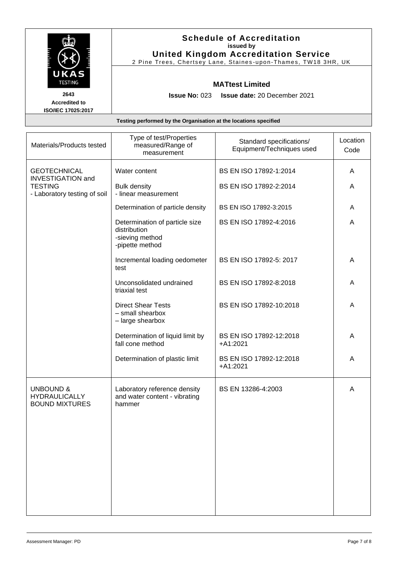| UKAS<br><b>TESTING</b>                                           | <b>Schedule of Accreditation</b><br>issued by<br><b>United Kingdom Accreditation Service</b><br>2 Pine Trees, Chertsey Lane, Staines-upon-Thames, TW18 3HR, UK |  |  |  |
|------------------------------------------------------------------|----------------------------------------------------------------------------------------------------------------------------------------------------------------|--|--|--|
|                                                                  | <b>MATtest Limited</b>                                                                                                                                         |  |  |  |
| 2643<br><b>Accredited to</b><br>ISO/IEC 17025:2017               | <b>Issue No: <math>023</math></b><br><b>Issue date: 20 December 2021</b>                                                                                       |  |  |  |
| Testing performed by the Organisation at the locations specified |                                                                                                                                                                |  |  |  |

| Materials/Products tested                                                                         | Type of test/Properties<br>measured/Range of<br>measurement                          | Standard specifications/<br>Equipment/Techniques used | Location<br>Code |
|---------------------------------------------------------------------------------------------------|--------------------------------------------------------------------------------------|-------------------------------------------------------|------------------|
| <b>GEOTECHNICAL</b><br><b>INVESTIGATION and</b><br><b>TESTING</b><br>- Laboratory testing of soil | Water content                                                                        | BS EN ISO 17892-1:2014                                | A                |
|                                                                                                   | <b>Bulk density</b><br>- linear measurement                                          | BS EN ISO 17892-2:2014                                | A                |
|                                                                                                   | Determination of particle density                                                    | BS EN ISO 17892-3:2015                                | Α                |
|                                                                                                   | Determination of particle size<br>distribution<br>-sieving method<br>-pipette method | BS EN ISO 17892-4:2016                                | A                |
|                                                                                                   | Incremental loading oedometer<br>test                                                | BS EN ISO 17892-5: 2017                               | Α                |
|                                                                                                   | Unconsolidated undrained<br>triaxial test                                            | BS EN ISO 17892-8:2018                                | A                |
|                                                                                                   | <b>Direct Shear Tests</b><br>- small shearbox<br>- large shearbox                    | BS EN ISO 17892-10:2018                               | Α                |
|                                                                                                   | Determination of liquid limit by<br>fall cone method                                 | BS EN ISO 17892-12:2018<br>$+A1:2021$                 | A                |
|                                                                                                   | Determination of plastic limit                                                       | BS EN ISO 17892-12:2018<br>$+A1:2021$                 | A                |
| <b>UNBOUND &amp;</b><br><b>HYDRAULICALLY</b><br><b>BOUND MIXTURES</b>                             | Laboratory reference density<br>and water content - vibrating<br>hammer              | BS EN 13286-4:2003                                    | A                |